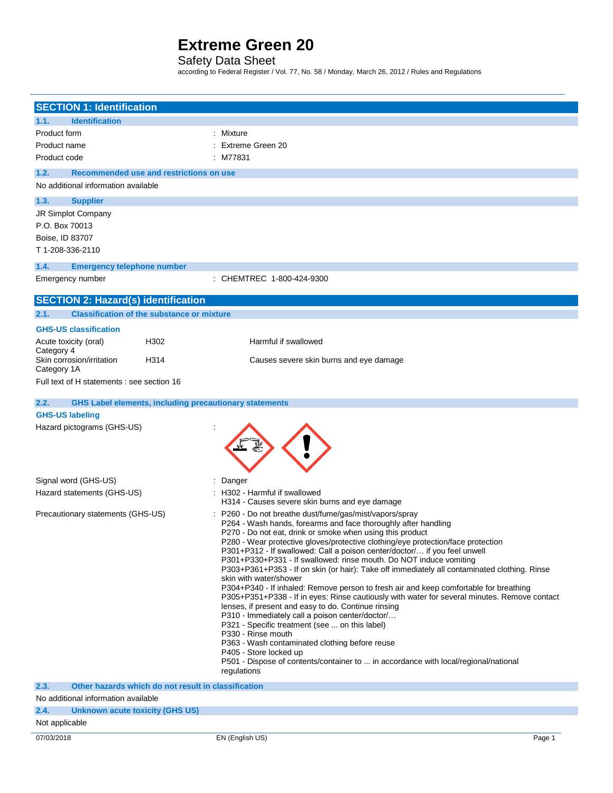Safety Data Sheet

according to Federal Register / Vol. 77, No. 58 / Monday, March 26, 2012 / Rules and Regulations

| <b>SECTION 1: Identification</b>                                                                 |                                                                                                                                                                                                                                                                                                                                                                                                                                                                                                                                                                                                                                                                                                                                                                                                                                                                                                                                                                                                                                                                                                                    |
|--------------------------------------------------------------------------------------------------|--------------------------------------------------------------------------------------------------------------------------------------------------------------------------------------------------------------------------------------------------------------------------------------------------------------------------------------------------------------------------------------------------------------------------------------------------------------------------------------------------------------------------------------------------------------------------------------------------------------------------------------------------------------------------------------------------------------------------------------------------------------------------------------------------------------------------------------------------------------------------------------------------------------------------------------------------------------------------------------------------------------------------------------------------------------------------------------------------------------------|
| 1.1.<br><b>Identification</b>                                                                    |                                                                                                                                                                                                                                                                                                                                                                                                                                                                                                                                                                                                                                                                                                                                                                                                                                                                                                                                                                                                                                                                                                                    |
| Product form                                                                                     | : Mixture                                                                                                                                                                                                                                                                                                                                                                                                                                                                                                                                                                                                                                                                                                                                                                                                                                                                                                                                                                                                                                                                                                          |
| Product name                                                                                     | : Extreme Green 20                                                                                                                                                                                                                                                                                                                                                                                                                                                                                                                                                                                                                                                                                                                                                                                                                                                                                                                                                                                                                                                                                                 |
| Product code                                                                                     | : M77831                                                                                                                                                                                                                                                                                                                                                                                                                                                                                                                                                                                                                                                                                                                                                                                                                                                                                                                                                                                                                                                                                                           |
|                                                                                                  |                                                                                                                                                                                                                                                                                                                                                                                                                                                                                                                                                                                                                                                                                                                                                                                                                                                                                                                                                                                                                                                                                                                    |
| 1.2.<br>Recommended use and restrictions on use                                                  |                                                                                                                                                                                                                                                                                                                                                                                                                                                                                                                                                                                                                                                                                                                                                                                                                                                                                                                                                                                                                                                                                                                    |
| No additional information available                                                              |                                                                                                                                                                                                                                                                                                                                                                                                                                                                                                                                                                                                                                                                                                                                                                                                                                                                                                                                                                                                                                                                                                                    |
| 1.3.<br><b>Supplier</b>                                                                          |                                                                                                                                                                                                                                                                                                                                                                                                                                                                                                                                                                                                                                                                                                                                                                                                                                                                                                                                                                                                                                                                                                                    |
| <b>JR Simplot Company</b>                                                                        |                                                                                                                                                                                                                                                                                                                                                                                                                                                                                                                                                                                                                                                                                                                                                                                                                                                                                                                                                                                                                                                                                                                    |
| P.O. Box 70013                                                                                   |                                                                                                                                                                                                                                                                                                                                                                                                                                                                                                                                                                                                                                                                                                                                                                                                                                                                                                                                                                                                                                                                                                                    |
| Boise, ID 83707                                                                                  |                                                                                                                                                                                                                                                                                                                                                                                                                                                                                                                                                                                                                                                                                                                                                                                                                                                                                                                                                                                                                                                                                                                    |
| T 1-208-336-2110                                                                                 |                                                                                                                                                                                                                                                                                                                                                                                                                                                                                                                                                                                                                                                                                                                                                                                                                                                                                                                                                                                                                                                                                                                    |
| 1.4.<br><b>Emergency telephone number</b>                                                        |                                                                                                                                                                                                                                                                                                                                                                                                                                                                                                                                                                                                                                                                                                                                                                                                                                                                                                                                                                                                                                                                                                                    |
| Emergency number                                                                                 | : CHEMTREC 1-800-424-9300                                                                                                                                                                                                                                                                                                                                                                                                                                                                                                                                                                                                                                                                                                                                                                                                                                                                                                                                                                                                                                                                                          |
|                                                                                                  |                                                                                                                                                                                                                                                                                                                                                                                                                                                                                                                                                                                                                                                                                                                                                                                                                                                                                                                                                                                                                                                                                                                    |
| <b>SECTION 2: Hazard(s) identification</b>                                                       |                                                                                                                                                                                                                                                                                                                                                                                                                                                                                                                                                                                                                                                                                                                                                                                                                                                                                                                                                                                                                                                                                                                    |
| <b>Classification of the substance or mixture</b><br>2.1.                                        |                                                                                                                                                                                                                                                                                                                                                                                                                                                                                                                                                                                                                                                                                                                                                                                                                                                                                                                                                                                                                                                                                                                    |
| <b>GHS-US classification</b>                                                                     |                                                                                                                                                                                                                                                                                                                                                                                                                                                                                                                                                                                                                                                                                                                                                                                                                                                                                                                                                                                                                                                                                                                    |
| Acute toxicity (oral)<br>H302                                                                    | Harmful if swallowed                                                                                                                                                                                                                                                                                                                                                                                                                                                                                                                                                                                                                                                                                                                                                                                                                                                                                                                                                                                                                                                                                               |
| Category 4                                                                                       |                                                                                                                                                                                                                                                                                                                                                                                                                                                                                                                                                                                                                                                                                                                                                                                                                                                                                                                                                                                                                                                                                                                    |
| Skin corrosion/irritation<br>H314<br>Category 1A                                                 | Causes severe skin burns and eye damage                                                                                                                                                                                                                                                                                                                                                                                                                                                                                                                                                                                                                                                                                                                                                                                                                                                                                                                                                                                                                                                                            |
| Full text of H statements : see section 16                                                       |                                                                                                                                                                                                                                                                                                                                                                                                                                                                                                                                                                                                                                                                                                                                                                                                                                                                                                                                                                                                                                                                                                                    |
| 2.2.<br><b>GHS Label elements, including precautionary statements</b>                            |                                                                                                                                                                                                                                                                                                                                                                                                                                                                                                                                                                                                                                                                                                                                                                                                                                                                                                                                                                                                                                                                                                                    |
| <b>GHS-US labeling</b>                                                                           |                                                                                                                                                                                                                                                                                                                                                                                                                                                                                                                                                                                                                                                                                                                                                                                                                                                                                                                                                                                                                                                                                                                    |
| Hazard pictograms (GHS-US)                                                                       |                                                                                                                                                                                                                                                                                                                                                                                                                                                                                                                                                                                                                                                                                                                                                                                                                                                                                                                                                                                                                                                                                                                    |
| Signal word (GHS-US)                                                                             | Danger                                                                                                                                                                                                                                                                                                                                                                                                                                                                                                                                                                                                                                                                                                                                                                                                                                                                                                                                                                                                                                                                                                             |
| Hazard statements (GHS-US)                                                                       | : H302 - Harmful if swallowed                                                                                                                                                                                                                                                                                                                                                                                                                                                                                                                                                                                                                                                                                                                                                                                                                                                                                                                                                                                                                                                                                      |
|                                                                                                  | H314 - Causes severe skin burns and eye damage                                                                                                                                                                                                                                                                                                                                                                                                                                                                                                                                                                                                                                                                                                                                                                                                                                                                                                                                                                                                                                                                     |
| Precautionary statements (GHS-US)<br>Other hazards which do not result in classification<br>2.3. | P260 - Do not breathe dust/fume/gas/mist/vapors/spray<br>P264 - Wash hands, forearms and face thoroughly after handling<br>P270 - Do not eat, drink or smoke when using this product<br>P280 - Wear protective gloves/protective clothing/eye protection/face protection<br>P301+P312 - If swallowed: Call a poison center/doctor/ if you feel unwell<br>P301+P330+P331 - If swallowed: rinse mouth. Do NOT induce vomiting<br>P303+P361+P353 - If on skin (or hair): Take off immediately all contaminated clothing. Rinse<br>skin with water/shower<br>P304+P340 - If inhaled: Remove person to fresh air and keep comfortable for breathing<br>P305+P351+P338 - If in eyes: Rinse cautiously with water for several minutes. Remove contact<br>lenses, if present and easy to do. Continue rinsing<br>P310 - Immediately call a poison center/doctor/<br>P321 - Specific treatment (see  on this label)<br>P330 - Rinse mouth<br>P363 - Wash contaminated clothing before reuse<br>P405 - Store locked up<br>P501 - Dispose of contents/container to  in accordance with local/regional/national<br>regulations |
| No additional information available                                                              |                                                                                                                                                                                                                                                                                                                                                                                                                                                                                                                                                                                                                                                                                                                                                                                                                                                                                                                                                                                                                                                                                                                    |
| 2.4.<br>Unknown acute toxicity (GHS US)                                                          |                                                                                                                                                                                                                                                                                                                                                                                                                                                                                                                                                                                                                                                                                                                                                                                                                                                                                                                                                                                                                                                                                                                    |
|                                                                                                  |                                                                                                                                                                                                                                                                                                                                                                                                                                                                                                                                                                                                                                                                                                                                                                                                                                                                                                                                                                                                                                                                                                                    |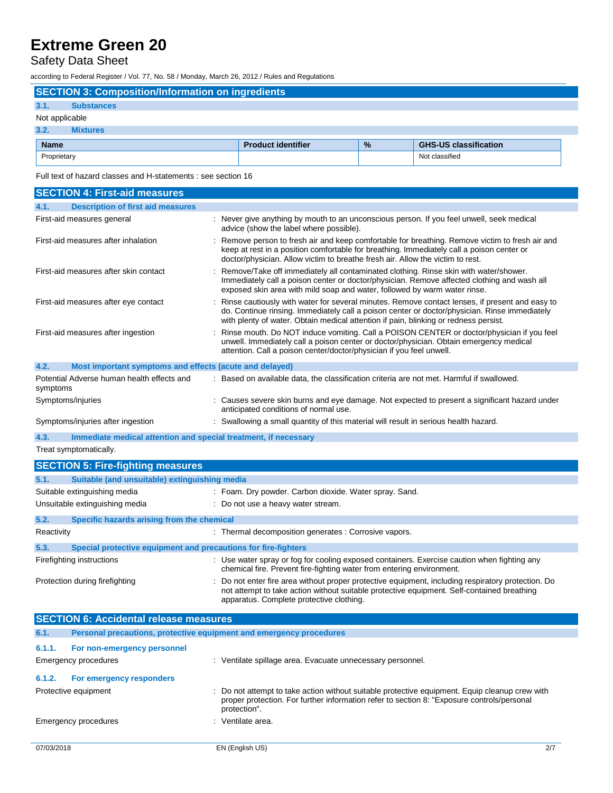Safety Data Sheet

according to Federal Register / Vol. 77, No. 58 / Monday, March 26, 2012 / Rules and Regulations

| Not applicable            |               |                              |  |
|---------------------------|---------------|------------------------------|--|
| 3.2.<br><b>Mixtures</b>   |               |                              |  |
| <b>Product identifier</b> | $\frac{9}{6}$ | <b>GHS-US classification</b> |  |
|                           |               | Not classified               |  |
|                           |               |                              |  |

Full text of hazard classes and H-statements : see section 16

|                   | <b>SECTION 4: First-aid measures</b>                                                        |                                                                                                                                                                                                                                                                                                                       |  |
|-------------------|---------------------------------------------------------------------------------------------|-----------------------------------------------------------------------------------------------------------------------------------------------------------------------------------------------------------------------------------------------------------------------------------------------------------------------|--|
| 4.1.              | <b>Description of first aid measures</b>                                                    |                                                                                                                                                                                                                                                                                                                       |  |
|                   | First-aid measures general                                                                  | : Never give anything by mouth to an unconscious person. If you feel unwell, seek medical<br>advice (show the label where possible).                                                                                                                                                                                  |  |
|                   | First-aid measures after inhalation                                                         | : Remove person to fresh air and keep comfortable for breathing. Remove victim to fresh air and<br>keep at rest in a position comfortable for breathing. Immediately call a poison center or<br>doctor/physician. Allow victim to breathe fresh air. Allow the victim to rest.                                        |  |
|                   | First-aid measures after skin contact                                                       | Remove/Take off immediately all contaminated clothing. Rinse skin with water/shower.<br>Immediately call a poison center or doctor/physician. Remove affected clothing and wash all<br>exposed skin area with mild soap and water, followed by warm water rinse.                                                      |  |
|                   | First-aid measures after eye contact                                                        | Rinse cautiously with water for several minutes. Remove contact lenses, if present and easy to<br>do. Continue rinsing. Immediately call a poison center or doctor/physician. Rinse immediately<br>with plenty of water. Obtain medical attention if pain, blinking or redness persist.                               |  |
|                   | First-aid measures after ingestion                                                          | Rinse mouth. Do NOT induce vomiting. Call a POISON CENTER or doctor/physician if you feel<br>unwell. Immediately call a poison center or doctor/physician. Obtain emergency medical<br>attention. Call a poison center/doctor/physician if you feel unwell.                                                           |  |
| 4.2.              | Most important symptoms and effects (acute and delayed)                                     |                                                                                                                                                                                                                                                                                                                       |  |
| symptoms          | Potential Adverse human health effects and                                                  | : Based on available data, the classification criteria are not met. Harmful if swallowed.                                                                                                                                                                                                                             |  |
| Symptoms/injuries |                                                                                             | : Causes severe skin burns and eye damage. Not expected to present a significant hazard under<br>anticipated conditions of normal use.                                                                                                                                                                                |  |
|                   | Symptoms/injuries after ingestion                                                           | : Swallowing a small quantity of this material will result in serious health hazard.                                                                                                                                                                                                                                  |  |
| 4.3.              | Immediate medical attention and special treatment, if necessary                             |                                                                                                                                                                                                                                                                                                                       |  |
|                   | Treat symptomatically.                                                                      |                                                                                                                                                                                                                                                                                                                       |  |
|                   | <b>SECTION 5: Fire-fighting measures</b>                                                    |                                                                                                                                                                                                                                                                                                                       |  |
|                   |                                                                                             |                                                                                                                                                                                                                                                                                                                       |  |
|                   |                                                                                             |                                                                                                                                                                                                                                                                                                                       |  |
| 5.1.              | Suitable (and unsuitable) extinguishing media                                               |                                                                                                                                                                                                                                                                                                                       |  |
|                   | Suitable extinguishing media<br>Unsuitable extinguishing media                              | : Foam. Dry powder. Carbon dioxide. Water spray. Sand.<br>: Do not use a heavy water stream.                                                                                                                                                                                                                          |  |
| 5.2.              |                                                                                             |                                                                                                                                                                                                                                                                                                                       |  |
| Reactivity        | Specific hazards arising from the chemical                                                  | : Thermal decomposition generates : Corrosive vapors.                                                                                                                                                                                                                                                                 |  |
|                   |                                                                                             |                                                                                                                                                                                                                                                                                                                       |  |
| 5.3.              | Special protective equipment and precautions for fire-fighters<br>Firefighting instructions | : Use water spray or fog for cooling exposed containers. Exercise caution when fighting any                                                                                                                                                                                                                           |  |
|                   | Protection during firefighting                                                              | chemical fire. Prevent fire-fighting water from entering environment.<br>: Do not enter fire area without proper protective equipment, including respiratory protection. Do<br>not attempt to take action without suitable protective equipment. Self-contained breathing<br>apparatus. Complete protective clothing. |  |
|                   | <b>SECTION 6: Accidental release measures</b>                                               |                                                                                                                                                                                                                                                                                                                       |  |
| 6.1.              | Personal precautions, protective equipment and emergency procedures                         |                                                                                                                                                                                                                                                                                                                       |  |
| 6.1.1.            |                                                                                             |                                                                                                                                                                                                                                                                                                                       |  |
|                   | For non-emergency personnel<br>Emergency procedures                                         | : Ventilate spillage area. Evacuate unnecessary personnel.                                                                                                                                                                                                                                                            |  |
| 6.1.2.            | For emergency responders                                                                    |                                                                                                                                                                                                                                                                                                                       |  |
|                   | Protective equipment                                                                        | : Do not attempt to take action without suitable protective equipment. Equip cleanup crew with<br>proper protection. For further information refer to section 8: "Exposure controls/personal<br>protection".                                                                                                          |  |
|                   | Emergency procedures                                                                        | : Ventilate area.                                                                                                                                                                                                                                                                                                     |  |
| 07/03/2018        |                                                                                             | 2/7<br>EN (English US)                                                                                                                                                                                                                                                                                                |  |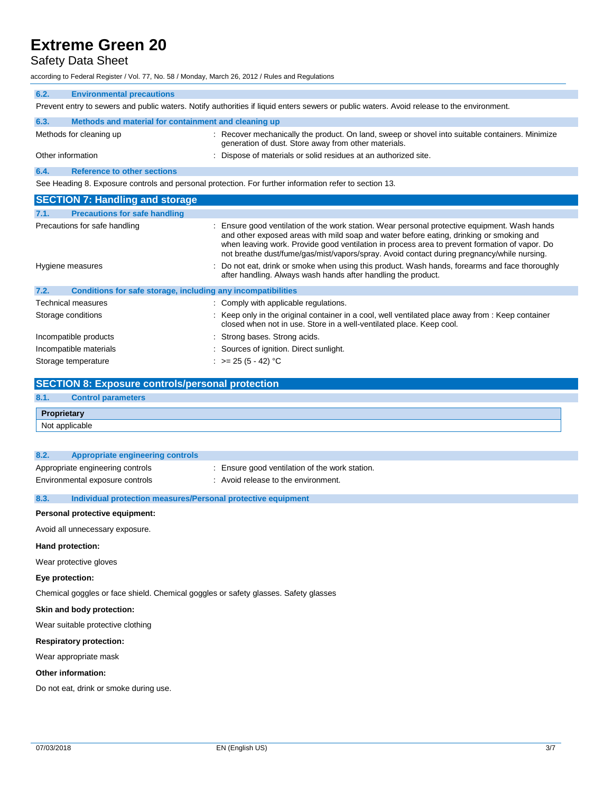### Safety Data Sheet

according to Federal Register / Vol. 77, No. 58 / Monday, March 26, 2012 / Rules and Regulations

| 6.2. | <b>Environmental precautions</b>                             |                                                                                                                                                                                                                                                                                                                                                                                         |  |
|------|--------------------------------------------------------------|-----------------------------------------------------------------------------------------------------------------------------------------------------------------------------------------------------------------------------------------------------------------------------------------------------------------------------------------------------------------------------------------|--|
|      |                                                              | Prevent entry to sewers and public waters. Notify authorities if liquid enters sewers or public waters. Avoid release to the environment.                                                                                                                                                                                                                                               |  |
| 6.3. | Methods and material for containment and cleaning up         |                                                                                                                                                                                                                                                                                                                                                                                         |  |
|      | Methods for cleaning up                                      | : Recover mechanically the product. On land, sweep or shovel into suitable containers. Minimize<br>generation of dust. Store away from other materials.                                                                                                                                                                                                                                 |  |
|      | Other information                                            | : Dispose of materials or solid residues at an authorized site.                                                                                                                                                                                                                                                                                                                         |  |
| 6.4. | <b>Reference to other sections</b>                           |                                                                                                                                                                                                                                                                                                                                                                                         |  |
|      |                                                              | See Heading 8. Exposure controls and personal protection. For further information refer to section 13.                                                                                                                                                                                                                                                                                  |  |
|      | <b>SECTION 7: Handling and storage</b>                       |                                                                                                                                                                                                                                                                                                                                                                                         |  |
| 7.1. | <b>Precautions for safe handling</b>                         |                                                                                                                                                                                                                                                                                                                                                                                         |  |
|      | Precautions for safe handling                                | : Ensure good ventilation of the work station. Wear personal protective equipment. Wash hands<br>and other exposed areas with mild soap and water before eating, drinking or smoking and<br>when leaving work. Provide good ventilation in process area to prevent formation of vapor. Do<br>not breathe dust/fume/gas/mist/vapors/spray. Avoid contact during pregnancy/while nursing. |  |
|      | Hygiene measures                                             | : Do not eat, drink or smoke when using this product. Wash hands, forearms and face thoroughly<br>after handling. Always wash hands after handling the product.                                                                                                                                                                                                                         |  |
| 7.2. | Conditions for safe storage, including any incompatibilities |                                                                                                                                                                                                                                                                                                                                                                                         |  |

| $\mathbf{1.2}$<br>Conditions for safe storage, including any incompatibilities |                                                                                                                                                                           |
|--------------------------------------------------------------------------------|---------------------------------------------------------------------------------------------------------------------------------------------------------------------------|
| <b>Technical measures</b>                                                      | : Comply with applicable regulations.                                                                                                                                     |
| Storage conditions                                                             | : Keep only in the original container in a cool, well ventilated place away from : Keep container<br>closed when not in use. Store in a well-ventilated place. Keep cool. |
| Incompatible products                                                          | : Strong bases. Strong acids.                                                                                                                                             |
| Incompatible materials                                                         | : Sources of ignition. Direct sunlight.                                                                                                                                   |
| Storage temperature                                                            | : $> = 25 (5 - 42) °C$                                                                                                                                                    |
|                                                                                |                                                                                                                                                                           |

### **SECTION 8: Exposure controls/personal protection**

### **8.1. Control parameters**

**Proprietary**

Not applicable

| 8.2. | Appropriate engineering controls |                                              |  |
|------|----------------------------------|----------------------------------------------|--|
|      | Appropriate engineering controls | Ensure good ventilation of the work station. |  |

- Environmental exposure controls : Avoid release to the environment.
- 

# **8.3. Individual protection measures/Personal protective equipment**

### **Personal protective equipment:**

Avoid all unnecessary exposure.

### **Hand protection:**

Wear protective gloves

### **Eye protection:**

Chemical goggles or face shield. Chemical goggles or safety glasses. Safety glasses

### **Skin and body protection:**

Wear suitable protective clothing

#### **Respiratory protection:**

Wear appropriate mask

### **Other information:**

Do not eat, drink or smoke during use.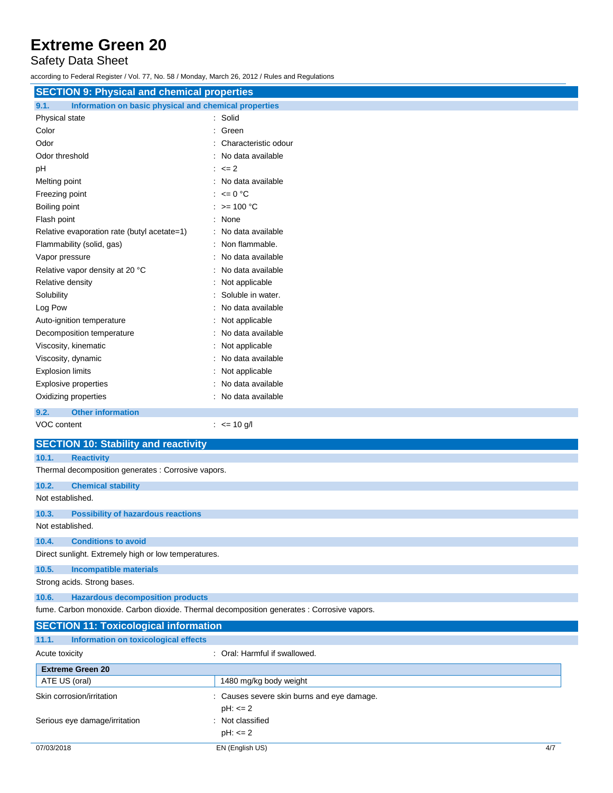# Safety Data Sheet

according to Federal Register / Vol. 77, No. 58 / Monday, March 26, 2012 / Rules and Regulations

| <b>SECTION 9: Physical and chemical properties</b>            |                         |  |  |
|---------------------------------------------------------------|-------------------------|--|--|
| 9.1.<br>Information on basic physical and chemical properties |                         |  |  |
| Physical state                                                | : Solid                 |  |  |
| Color                                                         | : Green                 |  |  |
| Odor                                                          | : Characteristic odour  |  |  |
| Odor threshold                                                | : No data available     |  |  |
| pH                                                            | $: < = 2$               |  |  |
| Melting point                                                 | : No data available     |  |  |
| Freezing point                                                | : $\leq 0$ °C           |  |  |
| Boiling point                                                 | $: z = 100 °C$          |  |  |
| Flash point                                                   | : None                  |  |  |
| Relative evaporation rate (butyl acetate=1)                   | : No data available     |  |  |
| Flammability (solid, gas)                                     | : Non flammable.        |  |  |
| Vapor pressure                                                | : No data available     |  |  |
| Relative vapor density at 20 °C                               | : No data available     |  |  |
| Relative density                                              | Not applicable          |  |  |
| Solubility                                                    | Soluble in water.       |  |  |
| Log Pow                                                       | No data available       |  |  |
| Auto-ignition temperature                                     | Not applicable          |  |  |
| Decomposition temperature                                     | : No data available     |  |  |
| Viscosity, kinematic                                          | Not applicable          |  |  |
| Viscosity, dynamic                                            | No data available       |  |  |
| <b>Explosion limits</b>                                       | : Not applicable        |  |  |
| <b>Explosive properties</b>                                   | : No data available     |  |  |
| Oxidizing properties                                          | : No data available     |  |  |
| <b>Other information</b><br>9.2.                              |                         |  |  |
| VOC content                                                   | $\frac{1}{2}$ <= 10 g/l |  |  |

### **SECTION 10: Stability and reactivity**

**10.1. Reactivity**

Thermal decomposition generates : Corrosive vapors.

| 10.2. | <b>Chemical stability</b> |  |
|-------|---------------------------|--|
|       |                           |  |

Not established.

### **10.3. Possibility of hazardous reactions**

Not established.

### **10.4. Conditions to avoid**

Direct sunlight. Extremely high or low temperatures.

**10.5. Incompatible materials**

Strong acids. Strong bases.

**10.6. Hazardous decomposition products**

fume. Carbon monoxide. Carbon dioxide. Thermal decomposition generates : Corrosive vapors.

| <b>SECTION 11: Toxicological information</b>  |                                            |     |
|-----------------------------------------------|--------------------------------------------|-----|
| Information on toxicological effects<br>11.1. |                                            |     |
| Acute toxicity                                | : Oral: Harmful if swallowed.              |     |
| <b>Extreme Green 20</b>                       |                                            |     |
| ATE US (oral)                                 | 1480 mg/kg body weight                     |     |
| Skin corrosion/irritation                     | : Causes severe skin burns and eye damage. |     |
|                                               | $pH: \leq 2$                               |     |
| Serious eye damage/irritation                 | : Not classified                           |     |
|                                               | $pH: \leq 2$                               |     |
| 07/03/2018                                    | EN (English US)                            | 4/7 |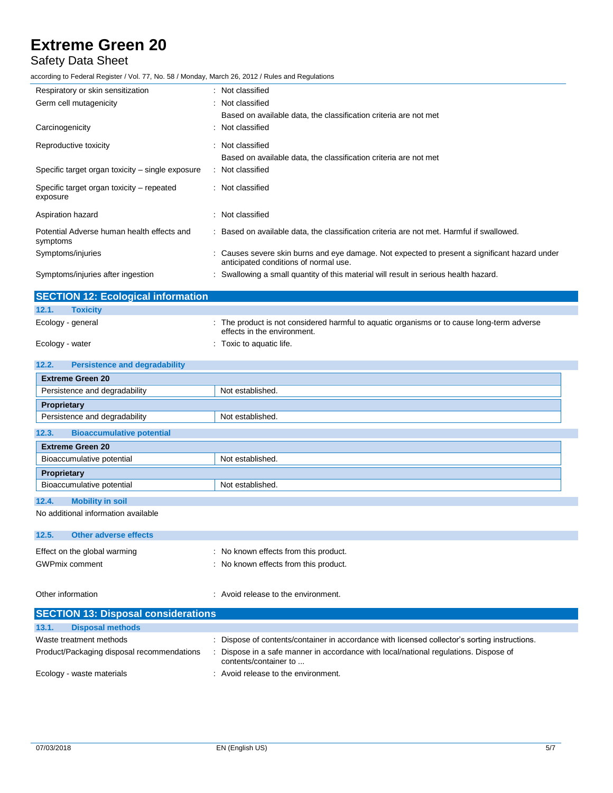## Safety Data Sheet

according to Federal Register / Vol. 77, No. 58 / Monday, March 26, 2012 / Rules and Regulations

| Respiratory or skin sensitization                      | : Not classified                                                                                                                       |
|--------------------------------------------------------|----------------------------------------------------------------------------------------------------------------------------------------|
| Germ cell mutagenicity                                 | . Not classified                                                                                                                       |
|                                                        | Based on available data, the classification criteria are not met                                                                       |
| Carcinogenicity                                        | : Not classified                                                                                                                       |
| Reproductive toxicity                                  | : Not classified                                                                                                                       |
|                                                        | Based on available data, the classification criteria are not met                                                                       |
| Specific target organ toxicity – single exposure       | . Not classified                                                                                                                       |
| Specific target organ toxicity – repeated<br>exposure  | . Not classified                                                                                                                       |
| Aspiration hazard                                      | : Not classified                                                                                                                       |
| Potential Adverse human health effects and<br>symptoms | : Based on available data, the classification criteria are not met. Harmful if swallowed.                                              |
| Symptoms/injuries                                      | : Causes severe skin burns and eye damage. Not expected to present a significant hazard under<br>anticipated conditions of normal use. |
| Symptoms/injuries after ingestion                      | : Swallowing a small quantity of this material will result in serious health hazard.                                                   |

| <b>SECTION 12: Ecological information</b> |                                                                                                                           |  |  |
|-------------------------------------------|---------------------------------------------------------------------------------------------------------------------------|--|--|
| 12.1.<br><b>Toxicity</b>                  |                                                                                                                           |  |  |
| Ecology - general                         | : The product is not considered harmful to aquatic organisms or to cause long-term adverse<br>effects in the environment. |  |  |
| Ecology - water                           | : Toxic to aquatic life.                                                                                                  |  |  |

| <b>Extreme Green 20</b>                   |                  |  |
|-------------------------------------------|------------------|--|
| Persistence and degradability             | Not established. |  |
| Proprietary                               |                  |  |
| Persistence and degradability             | Not established. |  |
| 12.3.<br><b>Bioaccumulative potential</b> |                  |  |
| <b>Extreme Green 20</b>                   |                  |  |
| Bioaccumulative potential                 | Not established. |  |
| Proprietary                               |                  |  |
| Bioaccumulative potential                 | Not established. |  |
| 12.4.<br><b>Mobility in soil</b>          |                  |  |

No additional information available

| 12.5. | Other adverse effects                                 |                                                                                |
|-------|-------------------------------------------------------|--------------------------------------------------------------------------------|
|       | Effect on the global warming<br><b>GWPmix comment</b> | : No known effects from this product.<br>: No known effects from this product. |

Other information  $\qquad \qquad$ : Avoid release to the environment.

| <b>SECTION 13: Disposal considerations</b> |                                                                                                             |  |
|--------------------------------------------|-------------------------------------------------------------------------------------------------------------|--|
| 13.1.<br><b>Disposal methods</b>           |                                                                                                             |  |
| Waste treatment methods                    | : Dispose of contents/container in accordance with licensed collector's sorting instructions.               |  |
| Product/Packaging disposal recommendations | Dispose in a safe manner in accordance with local/national regulations. Dispose of<br>contents/container to |  |
| Ecology - waste materials                  | : Avoid release to the environment.                                                                         |  |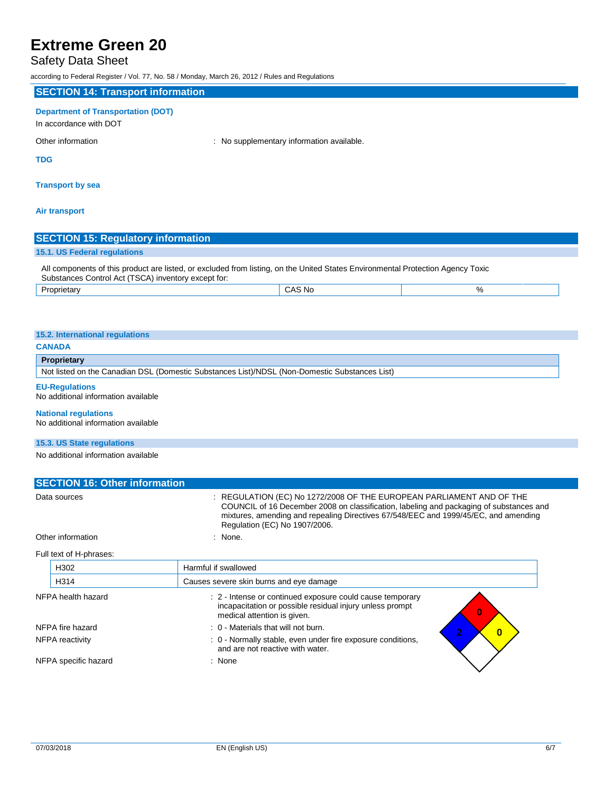### Safety Data Sheet

according to Federal Register / Vol. 77, No. 58 / Monday, March 26, 2012 / Rules and Regulations

### **SECTION 14: Transport information**

#### **Department of Transportation (DOT)**

In accordance with DOT

Other information **contains the contract of the contract of the contract of the contract of the contract of the contract of the contract of the contract of the contract of the contract of the contract of the contract of th** 

**TDG**

#### **Transport by sea**

#### **Air transport**

| <b>SECTION 15: Regulatory information</b>                                                                                                                                              |        |   |  |
|----------------------------------------------------------------------------------------------------------------------------------------------------------------------------------------|--------|---|--|
| 15.1. US Federal regulations                                                                                                                                                           |        |   |  |
| All components of this product are listed, or excluded from listing, on the United States Environmental Protection Agency Toxic<br>Substances Control Act (TSCA) inventory except for: |        |   |  |
| Proprietary                                                                                                                                                                            | CAS No | % |  |

### **15.2. International regulations**

### **CANADA**

| Proprietary                                                                                   |  |
|-----------------------------------------------------------------------------------------------|--|
| Not listed on the Canadian DSL (Domestic Substances List)/NDSL (Non-Domestic Substances List) |  |
| <b>EU-Regulations</b><br>No additional information available                                  |  |
| <b>National regulations</b><br>No additional information available                            |  |

### **15.3. US State regulations**

No additional information available

| <b>SECTION 16: Other information</b> |                         |                                                                                                                                                                                                                                                                                         |  |
|--------------------------------------|-------------------------|-----------------------------------------------------------------------------------------------------------------------------------------------------------------------------------------------------------------------------------------------------------------------------------------|--|
|                                      | Data sources            | : REGULATION (EC) No 1272/2008 OF THE EUROPEAN PARLIAMENT AND OF THE<br>COUNCIL of 16 December 2008 on classification, labeling and packaging of substances and<br>mixtures, amending and repealing Directives 67/548/EEC and 1999/45/EC, and amending<br>Regulation (EC) No 1907/2006. |  |
|                                      | Other information       | : None.                                                                                                                                                                                                                                                                                 |  |
|                                      | Full text of H-phrases: |                                                                                                                                                                                                                                                                                         |  |
|                                      | H302                    | Harmful if swallowed                                                                                                                                                                                                                                                                    |  |
|                                      | H314                    | Causes severe skin burns and eye damage                                                                                                                                                                                                                                                 |  |
|                                      | NFPA health hazard      | : 2 - Intense or continued exposure could cause temporary<br>incapacitation or possible residual injury unless prompt<br>$\bf{0}$<br>medical attention is given.                                                                                                                        |  |
|                                      | NFPA fire hazard        | : 0 - Materials that will not burn.<br>0                                                                                                                                                                                                                                                |  |
|                                      | NFPA reactivity         | : 0 - Normally stable, even under fire exposure conditions,<br>and are not reactive with water.                                                                                                                                                                                         |  |
|                                      | NFPA specific hazard    | : None                                                                                                                                                                                                                                                                                  |  |